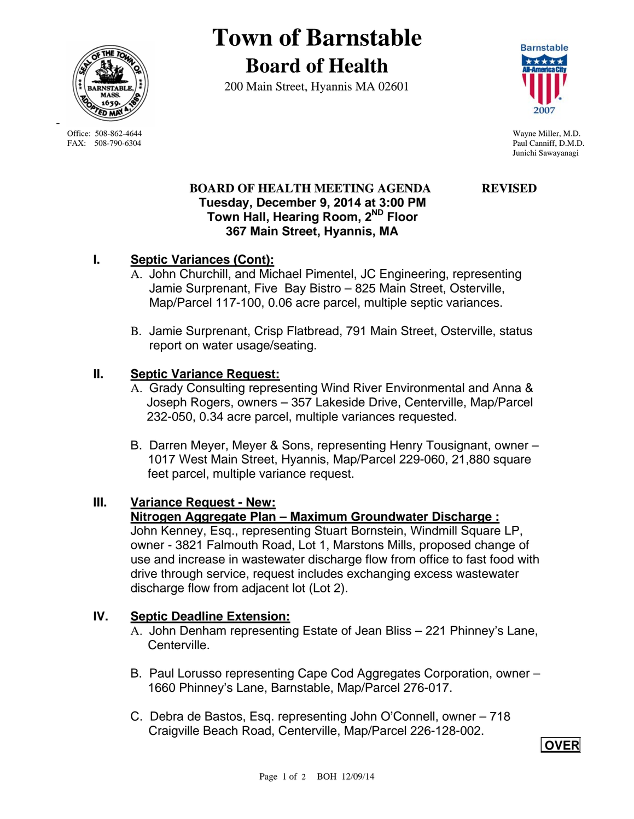

**Town of Barnstable Board of Health**

200 Main Street, Hyannis MA 02601



Junichi Sawayanagi

# **BOARD OF HEALTH MEETING AGENDA REVISED Tuesday, December 9, 2014 at 3:00 PM Town Hall, Hearing Room, 2ND Floor 367 Main Street, Hyannis, MA**

# **I. Septic Variances (Cont):**

- A. John Churchill, and Michael Pimentel, JC Engineering, representing Jamie Surprenant, Five Bay Bistro – 825 Main Street, Osterville, Map/Parcel 117-100, 0.06 acre parcel, multiple septic variances.
- B. Jamie Surprenant, Crisp Flatbread, 791 Main Street, Osterville, status report on water usage/seating.

# **II. Septic Variance Request:**

- A. Grady Consulting representing Wind River Environmental and Anna & Joseph Rogers, owners – 357 Lakeside Drive, Centerville, Map/Parcel 232-050, 0.34 acre parcel, multiple variances requested.
- B. Darren Meyer, Meyer & Sons, representing Henry Tousignant, owner 1017 West Main Street, Hyannis, Map/Parcel 229-060, 21,880 square feet parcel, multiple variance request.

# **III. Variance Request - New:**

#### **Nitrogen Aggregate Plan – Maximum Groundwater Discharge :**

John Kenney, Esq., representing Stuart Bornstein, Windmill Square LP, owner - 3821 Falmouth Road, Lot 1, Marstons Mills, proposed change of use and increase in wastewater discharge flow from office to fast food with drive through service, request includes exchanging excess wastewater discharge flow from adjacent lot (Lot 2).

# **IV. Septic Deadline Extension:**

- A. John Denham representing Estate of Jean Bliss 221 Phinney's Lane, Centerville.
- B. Paul Lorusso representing Cape Cod Aggregates Corporation, owner 1660 Phinney's Lane, Barnstable, Map/Parcel 276-017.
- C. Debra de Bastos, Esq. representing John O'Connell, owner 718 Craigville Beach Road, Centerville, Map/Parcel 226-128-002.

 **OVER** 

 Office: 508-862-4644 Wayne Miller, M.D. FAX: 508-790-6304 Paul Canniff, D.M.D.

-